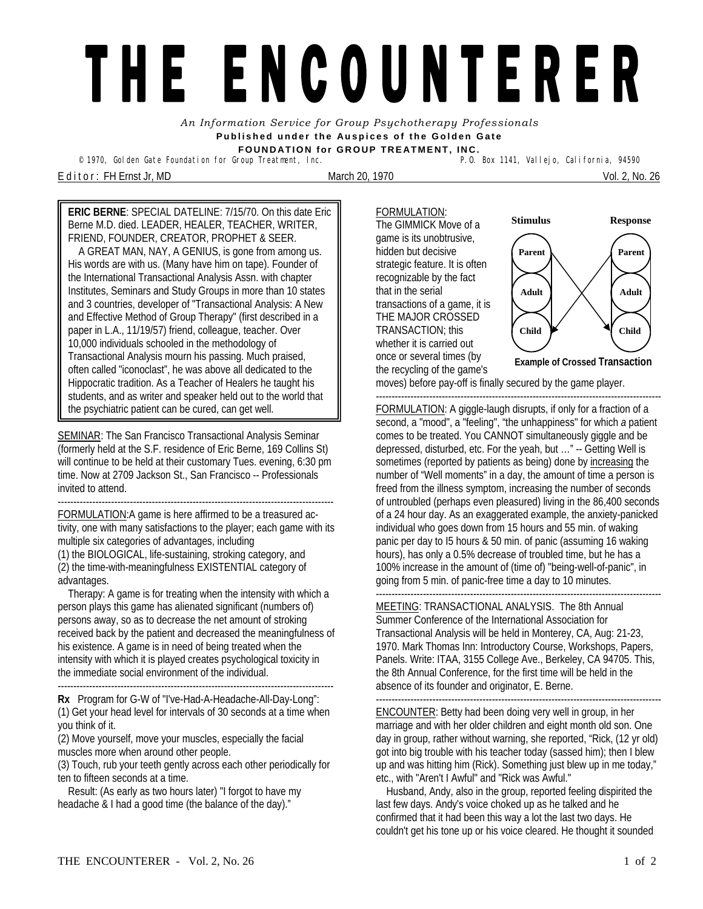## THE ENCOUNTERER

*An Information Service for Group Psychotherapy Professionals*  **Published under the Auspices of the Golden Gate FOUNDATION for GROUP TREATMENT, INC.** 

<sup>©</sup> 1970, Golden Gate Foundation for Group Treatment, Inc.

E d i t o r : FH Ernst Jr, MD March 20, 1970 Vol. 2, No. 26

**ERIC BERNE**: SPECIAL DATELINE: 7/15/70. On this date Eric Berne M.D. died. LEADER, HEALER, TEACHER, WRITER, FRIEND, FOUNDER, CREATOR, PROPHET & SEER. A GREAT MAN, NAY, A GENIUS, is gone from among us.

His words are with us. (Many have him on tape). Founder of the International Transactional Analysis Assn. with chapter Institutes, Seminars and Study Groups in more than 10 states and 3 countries, developer of "Transactional Analysis: A New and Effective Method of Group Therapy" (first described in a paper in L.A., 11/19/57) friend, colleague, teacher. Over 10,000 individuals schooled in the methodology of Transactional Analysis mourn his passing. Much praised, often called "iconoclast", he was above all dedicated to the Hippocratic tradition. As a Teacher of Healers he taught his students, and as writer and speaker held out to the world that the psychiatric patient can be cured, can get well.

SEMINAR: The San Francisco Transactional Analysis Seminar (formerly held at the S.F. residence of Eric Berne, 169 Collins St) will continue to be held at their customary Tues. evening, 6:30 pm time. Now at 2709 Jackson St., San Francisco -- Professionals invited to attend.

---------------------------------------------------------------------------------------- FORMULATION:A game is here affirmed to be a treasured activity, one with many satisfactions to the player; each game with its multiple six categories of advantages, including (1) the BIOLOGICAL, life-sustaining, stroking category, and (2) the time-with-meaningfulness EXISTENTIAL category of advantages.

 Therapy: A game is for treating when the intensity with which a person plays this game has alienated significant (numbers of) persons away, so as to decrease the net amount of stroking received back by the patient and decreased the meaningfulness of his existence. A game is in need of being treated when the intensity with which it is played creates psychological toxicity in the immediate social environment of the individual.

----------------------------------------------------------------------------------------

**Rx** Program for G-W of "I've-Had-A-Headache-All-Day-Long": (1) Get your head level for intervals of 30 seconds at a time when you think of it.

(2) Move yourself, move your muscles, especially the facial muscles more when around other people.

(3) Touch, rub your teeth gently across each other periodically for ten to fifteen seconds at a time.

 Result: (As early as two hours later) "I forgot to have my headache & I had a good time (the balance of the day)."

FORMULATION: The GIMMICK Move of a game is its unobtrusive, hidden but decisive strategic feature. It is often recognizable by the fact that in the serial transactions of a game, it is THE MAJOR CROSSED TRANSACTION; this whether it is carried out once or several times (by the recycling of the game's



moves) before pay-off is finally secured by the game player.

------------------------------------------------------------------------------------------- FORMULATION: A giggle-laugh disrupts, if only for a fraction of a second, a "mood", a "feeling", "the unhappiness" for which *a* patient comes to be treated. You CANNOT simultaneously giggle and be depressed, disturbed, etc. For the yeah, but …" -- Getting Well is sometimes (reported by patients as being) done by increasing the number of "Well moments" in a day, the amount of time a person is freed from the illness symptom, increasing the number of seconds of untroubled (perhaps even pleasured) living in the 86,400 seconds of a 24 hour day. As an exaggerated example, the anxiety-panicked individual who goes down from 15 hours and 55 min. of waking panic per day to I5 hours & 50 min. of panic (assuming 16 waking hours), has only a 0.5% decrease of troubled time, but he has a 100% increase in the amount of (time of) "being-well-of-panic", in going from 5 min. of panic-free time a day to 10 minutes.

MEETING: TRANSACTIONAL ANALYSIS. The 8th Annual Summer Conference of the International Association for Transactional Analysis will be held in Monterey, CA, Aug: 21-23, 1970. Mark Thomas Inn: Introductory Course, Workshops, Papers, Panels. Write: ITAA, 3155 College Ave., Berkeley, CA 94705. This, the 8th Annual Conference, for the first time will be held in the absence of its founder and originator, E. Berne.

------------------------------------------------------------------------------------------- ENCOUNTER: Betty had been doing very well in group, in her marriage and with her older children and eight month old son. One day in group, rather without warning, she reported, "Rick, (12 yr old) got into big trouble with his teacher today (sassed him); then I blew up and was hitting him (Rick). Something just blew up in me today," etc., with "Aren't I Awful" and "Rick was Awful."

 Husband, Andy, also in the group, reported feeling dispirited the last few days. Andy's voice choked up as he talked and he confirmed that it had been this way a lot the last two days. He couldn't get his tone up or his voice cleared. He thought it sounded